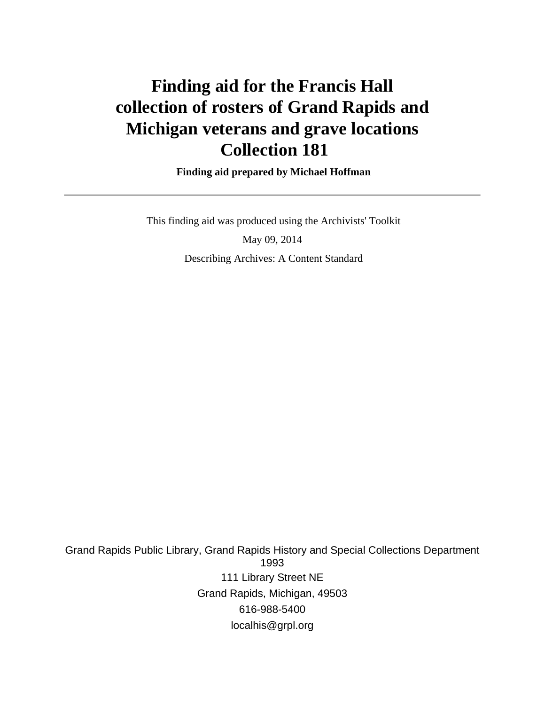# **Finding aid for the Francis Hall collection of rosters of Grand Rapids and Michigan veterans and grave locations Collection 181**

 **Finding aid prepared by Michael Hoffman**

 This finding aid was produced using the Archivists' Toolkit May 09, 2014 Describing Archives: A Content Standard

Grand Rapids Public Library, Grand Rapids History and Special Collections Department 1993 111 Library Street NE Grand Rapids, Michigan, 49503 616-988-5400 localhis@grpl.org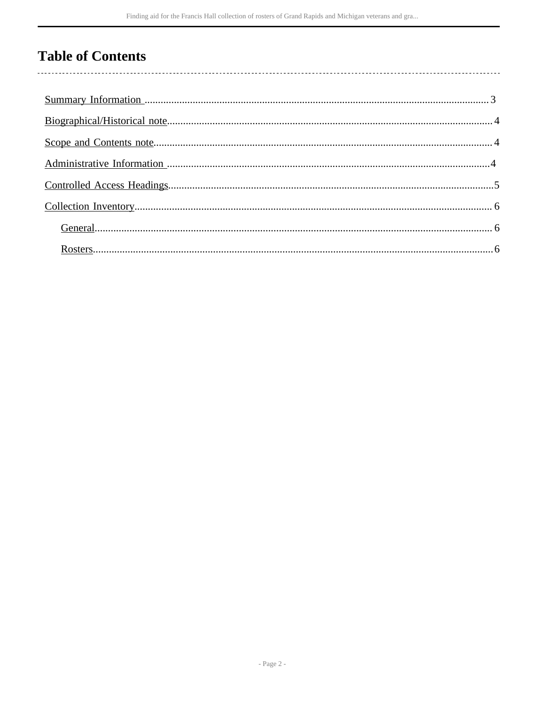## **Table of Contents**

l,

| $Rossers 6$ |  |
|-------------|--|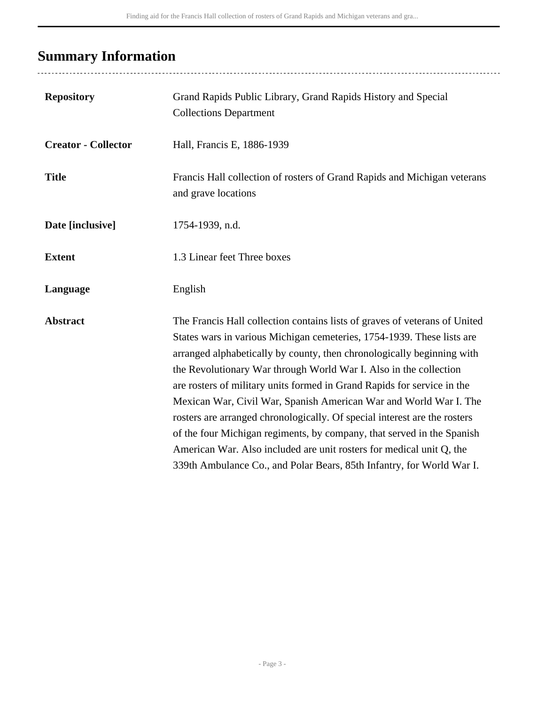# <span id="page-2-0"></span>**Summary Information**

....................

| <b>Repository</b>          | Grand Rapids Public Library, Grand Rapids History and Special<br><b>Collections Department</b>                                                                                                                                                                                                                                                                                                                                                                                                                                                                                                                                                                                                                                                              |
|----------------------------|-------------------------------------------------------------------------------------------------------------------------------------------------------------------------------------------------------------------------------------------------------------------------------------------------------------------------------------------------------------------------------------------------------------------------------------------------------------------------------------------------------------------------------------------------------------------------------------------------------------------------------------------------------------------------------------------------------------------------------------------------------------|
| <b>Creator - Collector</b> | Hall, Francis E, 1886-1939                                                                                                                                                                                                                                                                                                                                                                                                                                                                                                                                                                                                                                                                                                                                  |
| <b>Title</b>               | Francis Hall collection of rosters of Grand Rapids and Michigan veterans<br>and grave locations                                                                                                                                                                                                                                                                                                                                                                                                                                                                                                                                                                                                                                                             |
| Date [inclusive]           | 1754-1939, n.d.                                                                                                                                                                                                                                                                                                                                                                                                                                                                                                                                                                                                                                                                                                                                             |
| <b>Extent</b>              | 1.3 Linear feet Three boxes                                                                                                                                                                                                                                                                                                                                                                                                                                                                                                                                                                                                                                                                                                                                 |
| Language                   | English                                                                                                                                                                                                                                                                                                                                                                                                                                                                                                                                                                                                                                                                                                                                                     |
| <b>Abstract</b>            | The Francis Hall collection contains lists of graves of veterans of United<br>States wars in various Michigan cemeteries, 1754-1939. These lists are<br>arranged alphabetically by county, then chronologically beginning with<br>the Revolutionary War through World War I. Also in the collection<br>are rosters of military units formed in Grand Rapids for service in the<br>Mexican War, Civil War, Spanish American War and World War I. The<br>rosters are arranged chronologically. Of special interest are the rosters<br>of the four Michigan regiments, by company, that served in the Spanish<br>American War. Also included are unit rosters for medical unit Q, the<br>339th Ambulance Co., and Polar Bears, 85th Infantry, for World War I. |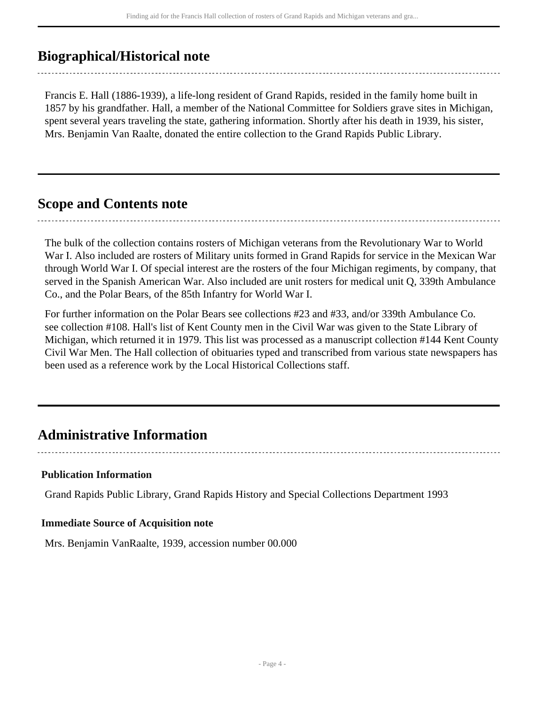## <span id="page-3-0"></span>**Biographical/Historical note**

Francis E. Hall (1886-1939), a life-long resident of Grand Rapids, resided in the family home built in 1857 by his grandfather. Hall, a member of the National Committee for Soldiers grave sites in Michigan, spent several years traveling the state, gathering information. Shortly after his death in 1939, his sister, Mrs. Benjamin Van Raalte, donated the entire collection to the Grand Rapids Public Library.

### <span id="page-3-1"></span>**Scope and Contents note**

The bulk of the collection contains rosters of Michigan veterans from the Revolutionary War to World War I. Also included are rosters of Military units formed in Grand Rapids for service in the Mexican War through World War I. Of special interest are the rosters of the four Michigan regiments, by company, that served in the Spanish American War. Also included are unit rosters for medical unit Q, 339th Ambulance Co., and the Polar Bears, of the 85th Infantry for World War I.

For further information on the Polar Bears see collections #23 and #33, and/or 339th Ambulance Co. see collection #108. Hall's list of Kent County men in the Civil War was given to the State Library of Michigan, which returned it in 1979. This list was processed as a manuscript collection #144 Kent County Civil War Men. The Hall collection of obituaries typed and transcribed from various state newspapers has been used as a reference work by the Local Historical Collections staff.

### <span id="page-3-2"></span>**Administrative Information**

#### **Publication Information**

Grand Rapids Public Library, Grand Rapids History and Special Collections Department 1993

#### **Immediate Source of Acquisition note**

Mrs. Benjamin VanRaalte, 1939, accession number 00.000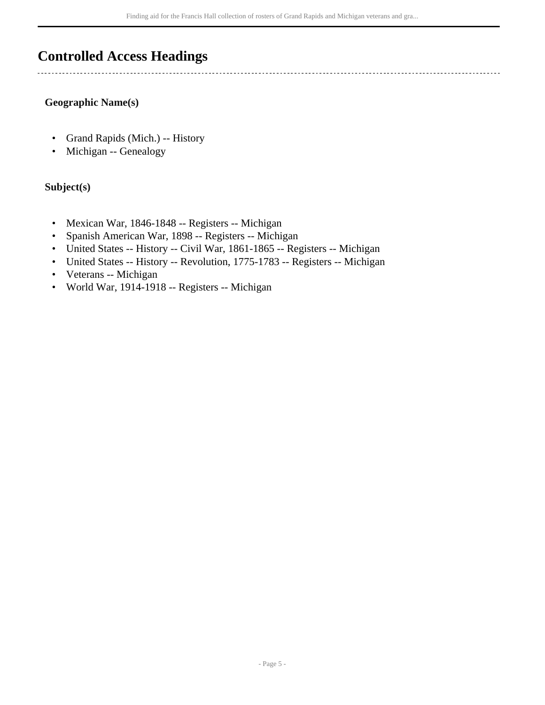### <span id="page-4-0"></span>**Controlled Access Headings**

#### **Geographic Name(s)**

- Grand Rapids (Mich.) -- History
- Michigan -- Genealogy

### **Subject(s)**

- Mexican War, 1846-1848 -- Registers -- Michigan
- Spanish American War, 1898 -- Registers -- Michigan
- United States -- History -- Civil War, 1861-1865 -- Registers -- Michigan
- United States -- History -- Revolution, 1775-1783 -- Registers -- Michigan
- Veterans -- Michigan
- World War, 1914-1918 -- Registers -- Michigan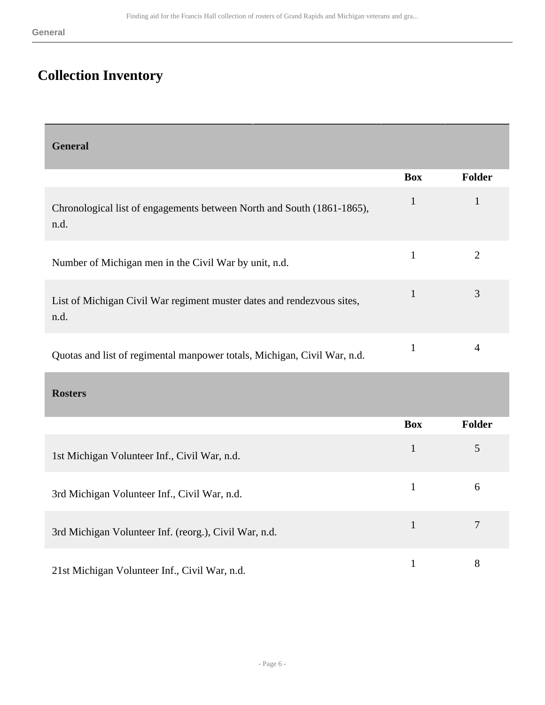## <span id="page-5-0"></span>**Collection Inventory**

<span id="page-5-1"></span>

| <b>General</b>                                                                 |              |                |
|--------------------------------------------------------------------------------|--------------|----------------|
|                                                                                | <b>Box</b>   | Folder         |
| Chronological list of engagements between North and South (1861-1865),<br>n.d. | $\mathbf{1}$ | $\mathbf{1}$   |
| Number of Michigan men in the Civil War by unit, n.d.                          | $\mathbf{1}$ | $\overline{2}$ |
| List of Michigan Civil War regiment muster dates and rendezvous sites,<br>n.d. | $\mathbf{1}$ | 3              |
| Quotas and list of regimental manpower totals, Michigan, Civil War, n.d.       | $\mathbf{1}$ | $\overline{4}$ |
| <b>Rosters</b>                                                                 |              |                |
|                                                                                | <b>Box</b>   | Folder         |
| 1st Michigan Volunteer Inf., Civil War, n.d.                                   | $\mathbf{1}$ | 5              |
| 3rd Michigan Volunteer Inf., Civil War, n.d.                                   | $\mathbf{1}$ | 6              |
| 3rd Michigan Volunteer Inf. (reorg.), Civil War, n.d.                          | $\mathbf{1}$ | $\tau$         |

<span id="page-5-2"></span>21st Michigan Volunteer Inf., Civil War, n.d. 1 8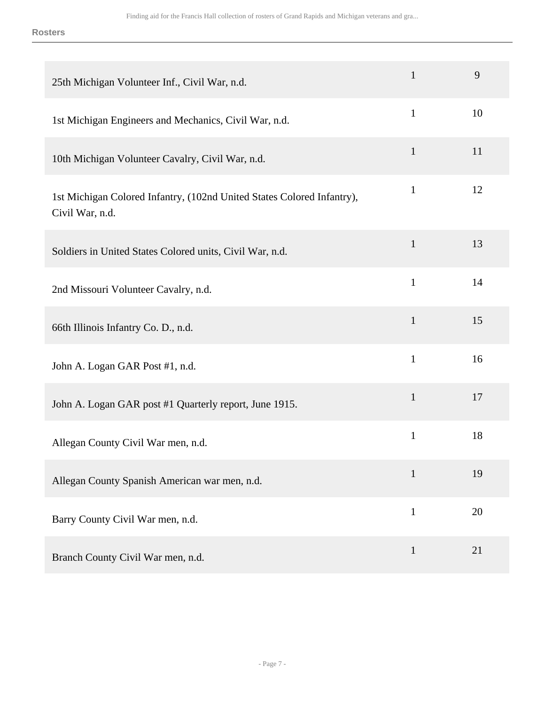**Rosters**

| 25th Michigan Volunteer Inf., Civil War, n.d.                                             | $\mathbf{1}$ | 9  |
|-------------------------------------------------------------------------------------------|--------------|----|
| 1st Michigan Engineers and Mechanics, Civil War, n.d.                                     | $\mathbf{1}$ | 10 |
| 10th Michigan Volunteer Cavalry, Civil War, n.d.                                          | $\mathbf{1}$ | 11 |
| 1st Michigan Colored Infantry, (102nd United States Colored Infantry),<br>Civil War, n.d. | $\mathbf{1}$ | 12 |
| Soldiers in United States Colored units, Civil War, n.d.                                  | $\mathbf{1}$ | 13 |
| 2nd Missouri Volunteer Cavalry, n.d.                                                      | $\mathbf{1}$ | 14 |
| 66th Illinois Infantry Co. D., n.d.                                                       | $\mathbf{1}$ | 15 |
| John A. Logan GAR Post #1, n.d.                                                           | $\mathbf{1}$ | 16 |
| John A. Logan GAR post #1 Quarterly report, June 1915.                                    | $\mathbf{1}$ | 17 |
| Allegan County Civil War men, n.d.                                                        | $\mathbf{1}$ | 18 |
| Allegan County Spanish American war men, n.d.                                             | $\mathbf{1}$ | 19 |
| Barry County Civil War men, n.d.                                                          | $\mathbf{1}$ | 20 |
| Branch County Civil War men, n.d.                                                         | $\mathbf{1}$ | 21 |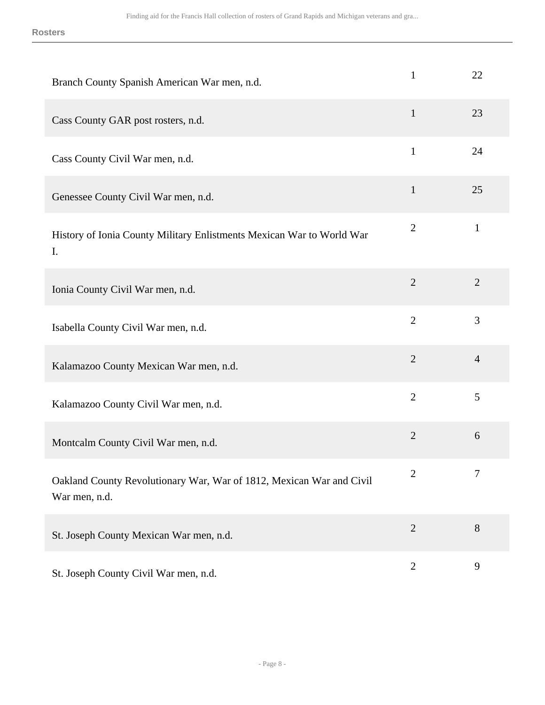**Rosters**

| Branch County Spanish American War men, n.d.                                          | $\mathbf{1}$   | 22             |
|---------------------------------------------------------------------------------------|----------------|----------------|
| Cass County GAR post rosters, n.d.                                                    | $\mathbf{1}$   | 23             |
| Cass County Civil War men, n.d.                                                       | $\mathbf{1}$   | 24             |
| Genessee County Civil War men, n.d.                                                   | $\mathbf{1}$   | 25             |
| History of Ionia County Military Enlistments Mexican War to World War<br>I.           | $\overline{2}$ | $\mathbf{1}$   |
| Ionia County Civil War men, n.d.                                                      | $\overline{2}$ | $\overline{2}$ |
| Isabella County Civil War men, n.d.                                                   | $\overline{2}$ | 3              |
| Kalamazoo County Mexican War men, n.d.                                                | $\overline{2}$ | $\overline{4}$ |
| Kalamazoo County Civil War men, n.d.                                                  | $\overline{2}$ | 5              |
| Montcalm County Civil War men, n.d.                                                   | $\overline{2}$ | 6              |
| Oakland County Revolutionary War, War of 1812, Mexican War and Civil<br>War men, n.d. | $\overline{2}$ | 7              |
| St. Joseph County Mexican War men, n.d.                                               | $\overline{2}$ | 8              |
| St. Joseph County Civil War men, n.d.                                                 | $\overline{2}$ | 9              |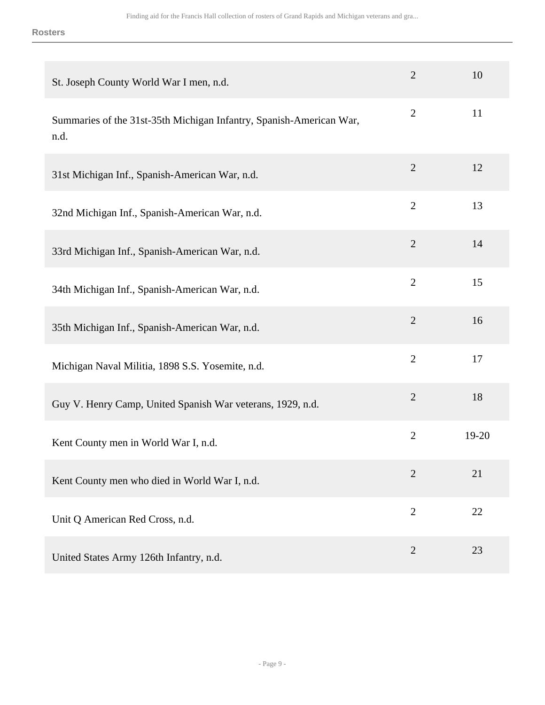#### **Rosters**

| St. Joseph County World War I men, n.d.                                     | $\overline{2}$ | 10        |
|-----------------------------------------------------------------------------|----------------|-----------|
| Summaries of the 31st-35th Michigan Infantry, Spanish-American War,<br>n.d. | $\overline{2}$ | 11        |
| 31st Michigan Inf., Spanish-American War, n.d.                              | $\overline{2}$ | 12        |
| 32nd Michigan Inf., Spanish-American War, n.d.                              | $\overline{2}$ | 13        |
| 33rd Michigan Inf., Spanish-American War, n.d.                              | $\overline{2}$ | 14        |
| 34th Michigan Inf., Spanish-American War, n.d.                              | $\overline{2}$ | 15        |
| 35th Michigan Inf., Spanish-American War, n.d.                              | $\overline{2}$ | 16        |
| Michigan Naval Militia, 1898 S.S. Yosemite, n.d.                            | $\overline{2}$ | 17        |
| Guy V. Henry Camp, United Spanish War veterans, 1929, n.d.                  | $\overline{2}$ | 18        |
| Kent County men in World War I, n.d.                                        | $\overline{2}$ | $19 - 20$ |
| Kent County men who died in World War I, n.d.                               | $\overline{2}$ | 21        |
| Unit Q American Red Cross, n.d.                                             | $\overline{2}$ | 22        |
| United States Army 126th Infantry, n.d.                                     | $\overline{2}$ | 23        |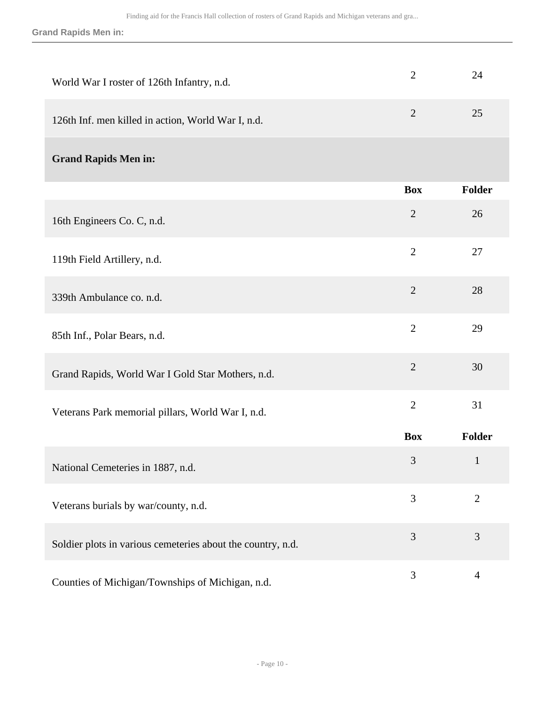**Grand Rapids Men in:**

| World War I roster of 126th Infantry, n.d.                  | $\overline{2}$ | 24             |
|-------------------------------------------------------------|----------------|----------------|
| 126th Inf. men killed in action, World War I, n.d.          | $\overline{2}$ | 25             |
| <b>Grand Rapids Men in:</b>                                 |                |                |
|                                                             | <b>Box</b>     | <b>Folder</b>  |
| 16th Engineers Co. C, n.d.                                  | $\overline{2}$ | 26             |
| 119th Field Artillery, n.d.                                 | $\overline{2}$ | 27             |
| 339th Ambulance co. n.d.                                    | $\overline{2}$ | 28             |
| 85th Inf., Polar Bears, n.d.                                | $\overline{2}$ | 29             |
| Grand Rapids, World War I Gold Star Mothers, n.d.           | $\overline{2}$ | 30             |
| Veterans Park memorial pillars, World War I, n.d.           | $\overline{2}$ | 31             |
|                                                             | <b>Box</b>     | Folder         |
| National Cemeteries in 1887, n.d.                           | 3              | $\mathbf{1}$   |
| Veterans burials by war/county, n.d.                        | 3              | $\overline{2}$ |
| Soldier plots in various cemeteries about the country, n.d. | 3              | 3              |
| Counties of Michigan/Townships of Michigan, n.d.            | 3              | $\overline{4}$ |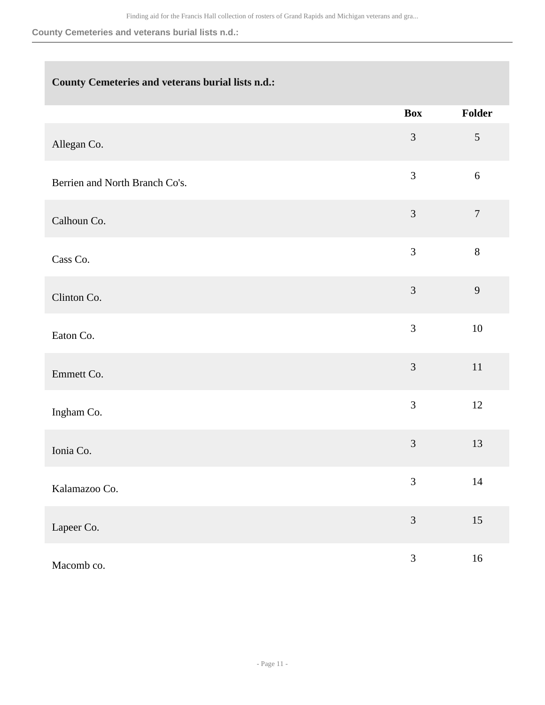#### **County Cemeteries and veterans burial lists n.d.:**

### **County Cemeteries and veterans burial lists n.d.:**

|                                | <b>Box</b>     | Folder           |
|--------------------------------|----------------|------------------|
| Allegan Co.                    | 3              | $\mathfrak{S}$   |
| Berrien and North Branch Co's. | 3              | $6\,$            |
| Calhoun Co.                    | $\mathfrak{Z}$ | $\boldsymbol{7}$ |
| Cass Co.                       | 3              | $8\,$            |
| Clinton Co.                    | 3              | 9                |
| Eaton Co.                      | 3              | $10\,$           |
| Emmett Co.                     | 3              | $11\,$           |
| Ingham Co.                     | 3              | 12               |
| Ionia Co.                      | 3              | 13               |
| Kalamazoo Co.                  | $\mathfrak{Z}$ | $14$             |
| Lapeer Co.                     | $\mathfrak{Z}$ | $15\,$           |
| Macomb co.                     | $\mathfrak{Z}$ | $16\,$           |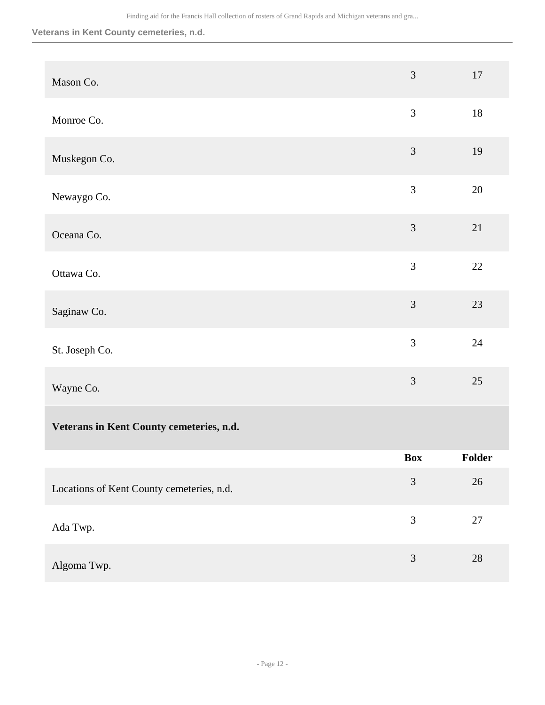#### **Veterans in Kent County cemeteries, n.d.**

| Mason Co.                                 | $\mathfrak{Z}$ | $17\,$ |
|-------------------------------------------|----------------|--------|
| Monroe Co.                                | $\mathfrak{Z}$ | $18\,$ |
| Muskegon Co.                              | 3              | 19     |
| Newaygo Co.                               | 3              | $20\,$ |
| Oceana Co.                                | $\mathfrak{Z}$ | 21     |
| Ottawa Co.                                | 3              | 22     |
| Saginaw Co.                               | 3              | 23     |
| St. Joseph Co.                            | 3              | 24     |
| Wayne Co.                                 | 3              | $25\,$ |
| Veterans in Kent County cemeteries, n.d.  |                |        |
|                                           | <b>Box</b>     | Folder |
| Locations of Kent County cemeteries, n.d. | $\mathfrak{Z}$ | $26\,$ |
| Ada Twp.                                  | $\mathfrak{Z}$ | $27\,$ |
| Algoma Twp.                               | $\mathfrak{Z}$ | $28\,$ |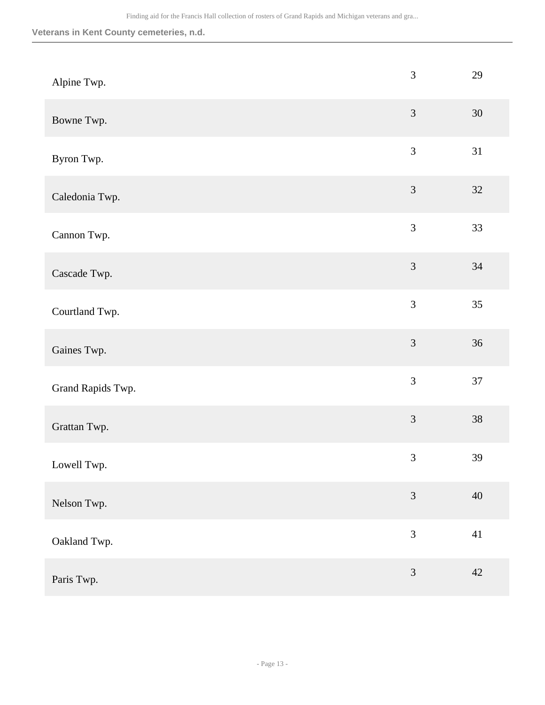#### **Veterans in Kent County cemeteries, n.d.**

| Alpine Twp.       | 3              | 29     |
|-------------------|----------------|--------|
| Bowne Twp.        | $\mathfrak{Z}$ | 30     |
| Byron Twp.        | $\mathfrak{Z}$ | 31     |
| Caledonia Twp.    | $\mathfrak{Z}$ | $32\,$ |
| Cannon Twp.       | $\mathfrak{Z}$ | 33     |
| Cascade Twp.      | 3              | 34     |
| Courtland Twp.    | $\mathfrak{Z}$ | 35     |
| Gaines Twp.       | $\overline{3}$ | 36     |
| Grand Rapids Twp. | $\mathfrak{Z}$ | 37     |
| Grattan Twp.      | $\mathfrak{Z}$ | $38\,$ |
| Lowell Twp.       | $\mathfrak{Z}$ | 39     |
| Nelson Twp.       | 3              | 40     |
| Oakland Twp.      | 3              | 41     |
| Paris Twp.        | $\overline{3}$ | 42     |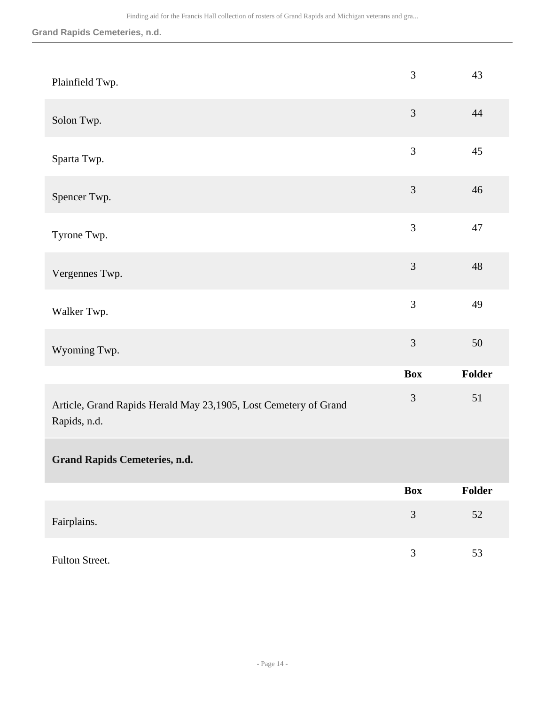### **Grand Rapids Cemeteries, n.d.**

| Plainfield Twp.                                                                  | 3              | 43     |
|----------------------------------------------------------------------------------|----------------|--------|
| Solon Twp.                                                                       | 3              | 44     |
| Sparta Twp.                                                                      | 3              | 45     |
| Spencer Twp.                                                                     | 3              | 46     |
| Tyrone Twp.                                                                      | 3              | 47     |
| Vergennes Twp.                                                                   | $\overline{3}$ | 48     |
| Walker Twp.                                                                      | 3              | 49     |
| Wyoming Twp.                                                                     | $\mathfrak{Z}$ | $50\,$ |
|                                                                                  | <b>Box</b>     | Folder |
| Article, Grand Rapids Herald May 23,1905, Lost Cemetery of Grand<br>Rapids, n.d. | $\mathfrak{Z}$ | 51     |
| <b>Grand Rapids Cemeteries, n.d.</b>                                             |                |        |
|                                                                                  | <b>Box</b>     | Folder |
| Fairplains.                                                                      | $\overline{3}$ | 52     |
| Fulton Street.                                                                   | 3              | 53     |